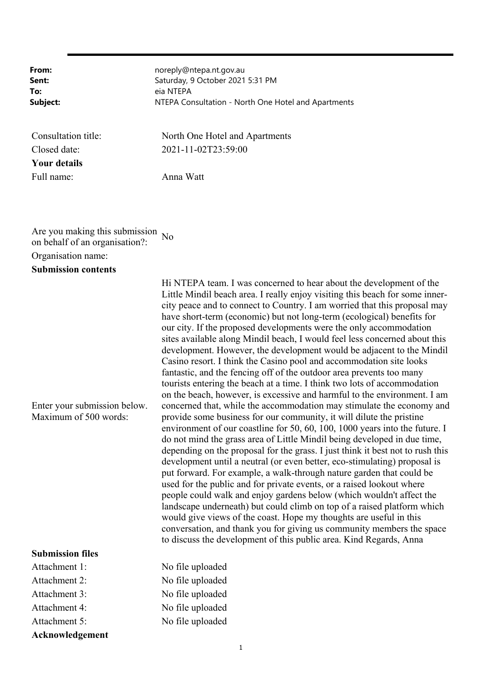**From:** noreply@ntepa.nt.gov.au Sent: Saturday, 9 October 2021 5:31 PM **To:** eia NTEPA **Subject:** NTEPA Consultation - North One Hotel and Apartments Consultation title: North One Hotel and Apartments Closed date: 2021-11-02T23:59:00 **Your details**

Full name: Anna Watt

Are you making this submission on behalf of an organisation?: No Organisation name:

**Submission contents**

Enter your submission below. Maximum of 500 words:

## **Submission files**

Attachment 1: No file uploaded Attachment 2: No file uploaded Attachment 3: No file uploaded Attachment 4: No file uploaded Attachment 5: No file uploaded **Acknowledgement**

Hi NTEPA team. I was concerned to hear about the development of the Little Mindil beach area. I really enjoy visiting this beach for some innercity peace and to connect to Country. I am worried that this proposal may have short-term (economic) but not long-term (ecological) benefits for our city. If the proposed developments were the only accommodation sites available along Mindil beach, I would feel less concerned about this development. However, the development would be adjacent to the Mindil Casino resort. I think the Casino pool and accommodation site looks fantastic, and the fencing off of the outdoor area prevents too many tourists entering the beach at a time. I think two lots of accommodation on the beach, however, is excessive and harmful to the environment. I am concerned that, while the accommodation may stimulate the economy and provide some business for our community, it will dilute the pristine environment of our coastline for 50, 60, 100, 1000 years into the future. I do not mind the grass area of Little Mindil being developed in due time, depending on the proposal for the grass. I just think it best not to rush this development until a neutral (or even better, eco-stimulating) proposal is put forward. For example, a walk-through nature garden that could be used for the public and for private events, or a raised lookout where people could walk and enjoy gardens below (which wouldn't affect the landscape underneath) but could climb on top of a raised platform which would give views of the coast. Hope my thoughts are useful in this conversation, and thank you for giving us community members the space to discuss the development of this public area. Kind Regards, Anna